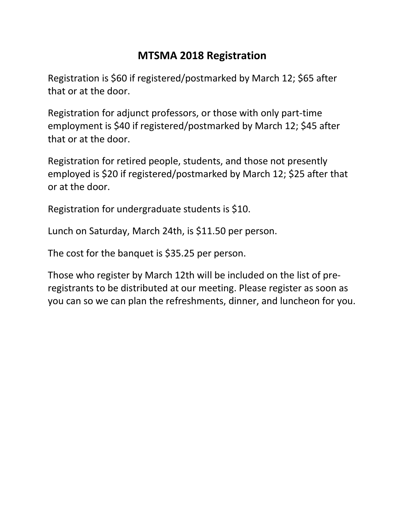## **MTSMA 2018 Registration**

Registration is \$60 if registered/postmarked by March 12; \$65 after that or at the door.

Registration for adjunct professors, or those with only part-time employment is \$40 if registered/postmarked by March 12; \$45 after that or at the door.

Registration for retired people, students, and those not presently employed is \$20 if registered/postmarked by March 12; \$25 after that or at the door.

Registration for undergraduate students is \$10.

Lunch on Saturday, March 24th, is \$11.50 per person.

The cost for the banquet is \$35.25 per person.

Those who register by March 12th will be included on the list of preregistrants to be distributed at our meeting. Please register as soon as you can so we can plan the refreshments, dinner, and luncheon for you.